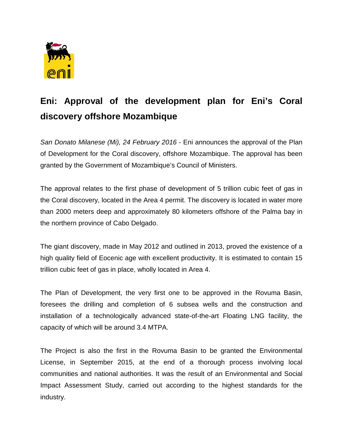

## **Eni: Approval of the development plan for Eni's Coral discovery offshore Mozambique**

*San Donato Milanese (Mi), 24 February 2016* - Eni announces the approval of the Plan of Development for the Coral discovery, offshore Mozambique. The approval has been granted by the Government of Mozambique's Council of Ministers.

The approval relates to the first phase of development of 5 trillion cubic feet of gas in the Coral discovery, located in the Area 4 permit. The discovery is located in water more than 2000 meters deep and approximately 80 kilometers offshore of the Palma bay in the northern province of Cabo Delgado.

The giant discovery, made in May 2012 and outlined in 2013, proved the existence of a high quality field of Eocenic age with excellent productivity. It is estimated to contain 15 trillion cubic feet of gas in place, wholly located in Area 4.

The Plan of Development, the very first one to be approved in the Rovuma Basin, foresees the drilling and completion of 6 subsea wells and the construction and installation of a technologically advanced state-of-the-art Floating LNG facility, the capacity of which will be around 3.4 MTPA.

The Project is also the first in the Rovuma Basin to be granted the Environmental License, in September 2015, at the end of a thorough process involving local communities and national authorities. It was the result of an Environmental and Social Impact Assessment Study, carried out according to the highest standards for the industry.